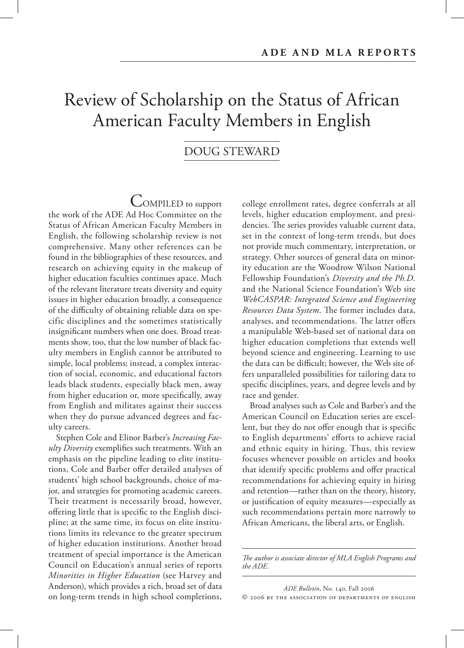# Review of Scholarship on the Status of African American Faculty Members in English

# DOUG STEWARD

COMPILED to support the work of the ADE Ad Hoc Committee on the Status of African American Faculty Members in English, the following scholarship review is not comprehensive. Many other references can be found in the bibliographies of these resources, and research on achieving equity in the makeup of higher education faculties continues apace. Much of the relevant literature treats diversity and equity issues in higher education broadly, a consequence of the difficulty of obtaining reliable data on specific disciplines and the sometimes statistically insignificant numbers when one does. Broad treatments show, too, that the low number of black faculty members in English cannot be attributed to simple, local problems; instead, a complex interaction of social, economic, and educational factors leads black students, especially black men, away from higher education or, more specifically, away from English and militates against their success when they do pursue advanced degrees and faculty careers.

Stephen Cole and Elinor Barber's *Increasing Faculty Diversity* exemplifies such treatments. With an emphasis on the pipeline leading to elite institutions, Cole and Barber offer detailed analyses of students' high school backgrounds, choice of major, and strategies for promoting academic careers. Their treatment is necessarily broad, however, offering little that is specific to the English discipline; at the same time, its focus on elite institutions limits its relevance to the greater spectrum of higher education institutions. Another broad treatment of special importance is the American Council on Education's annual series of reports *Minorities in Higher Education* (see Harvey and Anderson), which provides a rich, broad set of data on long-term trends in high school completions,

college enrollment rates, degree conferrals at all levels, higher education employment, and presidencies. The series provides valuable current data, set in the context of long-term trends, but does not provide much commentary, interpretation, or strategy. Other sources of general data on minority education are the Woodrow Wilson National Fellowship Foundation's *Diversity and the Ph.D.* and the National Science Foundation's Web site *WebCASPAR: Integrated Science and Engineering Resources Data System*. The former includes data, analyses, and recommendations. The latter offers a manipulable Web-based set of national data on higher education completions that extends well beyond science and engineering. Learning to use the data can be difficult; however, the Web site offers unparalleled possibilities for tailoring data to specific disciplines, years, and degree levels and by race and gender.

Broad analyses such as Cole and Barber's and the American Council on Education series are excellent, but they do not offer enough that is specific to English departments' efforts to achieve racial and ethnic equity in hiring. Thus, this review focuses whenever possible on articles and books that identify specific problems and offer practical recommendations for achieving equity in hiring and retention—rather than on the theory, history, or justification of equity measures—especially as such recommendations pertain more narrowly to African Americans, the liberal arts, or English.

The author is associate director of MLA English Programs and *the ADE.*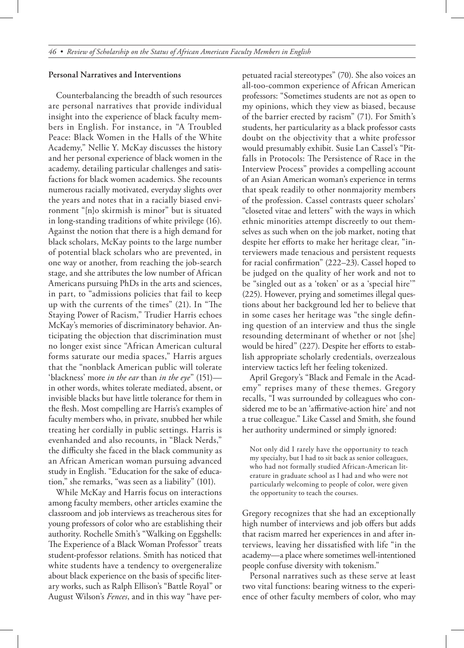#### **Personal Narratives and Interventions**

Counterbalancing the breadth of such resources are personal narratives that provide individual insight into the experience of black faculty members in English. For instance, in "A Troubled Peace: Black Women in the Halls of the White Academy," Nellie Y. McKay discusses the history and her personal experience of black women in the academy, detailing particular challenges and satisfactions for black women academics. She recounts numerous racially motivated, everyday slights over the years and notes that in a racially biased environment "[n]o skirmish is minor" but is situated in long-standing traditions of white privilege (16). Against the notion that there is a high demand for black scholars, McKay points to the large number of potential black scholars who are prevented, in one way or another, from reaching the job-search stage, and she attributes the low number of African Americans pursuing PhDs in the arts and sciences, in part, to "admissions policies that fail to keep up with the currents of the times"  $(21)$ . In "The Staying Power of Racism," Trudier Harris echoes McKay's memories of discriminatory behavior. Anticipating the objection that discrimination must no longer exist since "African American cultural forms saturate our media spaces," Harris argues that the "nonblack American public will tolerate 'blackness' more *in the ear* than *in the eye*" (151) in other words, whites tolerate mediated, absent, or invisible blacks but have little tolerance for them in the flesh. Most compelling are Harris's examples of faculty members who, in private, snubbed her while treating her cordially in public settings. Harris is evenhanded and also recounts, in "Black Nerds," the difficulty she faced in the black community as an African American woman pursuing advanced study in English. "Education for the sake of education," she remarks, "was seen as a liability" (101).

While McKay and Harris focus on interactions among faculty members, other articles examine the classroom and job interviews as treacherous sites for young professors of color who are establishing their authority. Rochelle Smith's "Walking on Eggshells: The Experience of a Black Woman Professor" treats student-professor relations. Smith has noticed that white students have a tendency to overgeneralize about black experience on the basis of specific literary works, such as Ralph Ellison's "Battle Royal" or August Wilson's *Fences*, and in this way "have perpetuated racial stereotypes" (70). She also voices an all-too-common experience of African American professors: "Sometimes students are not as open to my opinions, which they view as biased, because of the barrier erected by racism" (71). For Smith's students, her particularity as a black professor casts doubt on the objectivity that a white professor would presumably exhibit. Susie Lan Cassel's "Pitfalls in Protocols: The Persistence of Race in the Interview Process" provides a compelling account of an Asian American woman's experience in terms that speak readily to other nonmajority members of the profession. Cassel contrasts queer scholars' "closeted vitae and letters" with the ways in which ethnic minorities attempt discreetly to out themselves as such when on the job market, noting that despite her efforts to make her heritage clear, "interviewers made tenacious and persistent requests for racial confirmation" (222–23). Cassel hoped to be judged on the quality of her work and not to be "singled out as a 'token' or as a 'special hire'" (225). However, prying and sometimes illegal questions about her background led her to believe that in some cases her heritage was "the single defining question of an interview and thus the single resounding determinant of whether or not [she] would be hired" (227). Despite her efforts to establish appropriate scholarly credentials, overzealous interview tactics left her feeling tokenized.

April Gregory's "Black and Female in the Academy" reprises many of these themes. Gregory recalls, "I was surrounded by colleagues who considered me to be an 'affirmative-action hire' and not a true colleague." Like Cassel and Smith, she found her authority undermined or simply ignored:

Not only did I rarely have the opportunity to teach my specialty, but I had to sit back as senior colleagues, who had not formally studied African-American literature in graduate school as I had and who were not particularly welcoming to people of color, were given the opportunity to teach the courses.

Gregory recognizes that she had an exceptionally high number of interviews and job offers but adds that racism marred her experiences in and after interviews, leaving her dissatisfied with life "in the academy—a place where sometimes well-intentioned people confuse diversity with tokenism."

Personal narratives such as these serve at least two vital functions: bearing witness to the experience of other faculty members of color, who may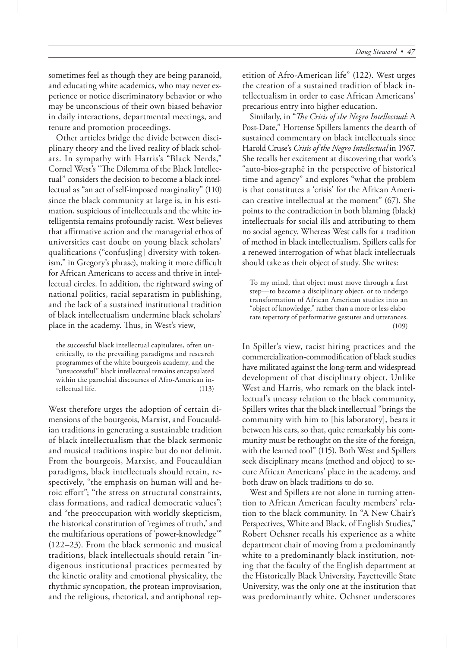sometimes feel as though they are being paranoid, and educating white academics, who may never experience or notice discriminatory behavior or who may be unconscious of their own biased behavior in daily interactions, departmental meetings, and tenure and promotion proceedings.

Other articles bridge the divide between disciplinary theory and the lived reality of black scholars. In sympathy with Harris's "Black Nerds," Cornel West's "The Dilemma of the Black Intellectual" considers the decision to become a black intellectual as "an act of self-imposed marginality" (110) since the black community at large is, in his estimation, suspicious of intellectuals and the white intelligentsia remains profoundly racist. West believes that affirmative action and the managerial ethos of universities cast doubt on young black scholars' qualifications ("confus[ing] diversity with tokenism," in Gregory's phrase), making it more difficult for African Americans to access and thrive in intellectual circles. In addition, the rightward swing of national politics, racial separatism in publishing, and the lack of a sustained institutional tradition of black intellectualism undermine black scholars' place in the academy. Thus, in West's view,

the successful black intellectual capitulates, often uncritically, to the prevailing paradigms and research programmes of the white bourgeois academy, and the "unsuccessful" black intellectual remains encapsulated within the parochial discourses of Afro-American intellectual life. (113)

West therefore urges the adoption of certain dimensions of the bourgeois, Marxist, and Foucauldian traditions in generating a sustainable tradition of black intellectualism that the black sermonic and musical traditions inspire but do not delimit. From the bourgeois, Marxist, and Foucauldian paradigms, black intellectuals should retain, respectively, "the emphasis on human will and heroic effort"; "the stress on structural constraints, class formations, and radical democratic values"; and "the preoccupation with worldly skepticism, the historical constitution of 'regimes of truth,' and the multifarious operations of 'power-knowledge'" (122–23). From the black sermonic and musical traditions, black intellectuals should retain "indigenous institutional practices permeated by the kinetic orality and emotional physicality, the rhythmic syncopation, the protean improvisation, and the religious, rhetorical, and antiphonal repetition of Afro-American life" (122). West urges the creation of a sustained tradition of black intellectualism in order to ease African Americans' precarious entry into higher education.

Similarly, in "*The Crisis of the Negro Intellectual*: A Post-Date," Hortense Spillers laments the dearth of sustained commentary on black intellectuals since Harold Cruse's *Crisis of the Negro Intellectual* in 1967. She recalls her excitement at discovering that work's "auto-bios-graphē in the perspective of historical time and agency" and explores "what the problem is that constitutes a 'crisis' for the African American creative intellectual at the moment" (67). She points to the contradiction in both blaming (black) intellectuals for social ills and attributing to them no social agency. Whereas West calls for a tradition of method in black intellectualism, Spillers calls for a renewed interrogation of what black intellectuals should take as their object of study. She writes:

To my mind, that object must move through a first step—to become a disciplinary object, or to undergo transformation of African American studies into an "object of knowledge," rather than a more or less elaborate repertory of performative gestures and utterances. (109)

In Spiller's view, racist hiring practices and the commercialization-commodification of black studies have militated against the long-term and widespread development of that disciplinary object. Unlike West and Harris, who remark on the black intellectual's uneasy relation to the black community, Spillers writes that the black intellectual "brings the community with him to [his laboratory], bears it between his ears, so that, quite remarkably his community must be rethought on the site of the foreign, with the learned tool" (115). Both West and Spillers seek disciplinary means (method and object) to secure African Americans' place in the academy, and both draw on black traditions to do so.

West and Spillers are not alone in turning attention to African American faculty members' relation to the black community. In "A New Chair's Perspectives, White and Black, of English Studies," Robert Ochsner recalls his experience as a white department chair of moving from a predominantly white to a predominantly black institution, noting that the faculty of the English department at the Historically Black University, Fayetteville State University, was the only one at the institution that was predominantly white. Ochsner underscores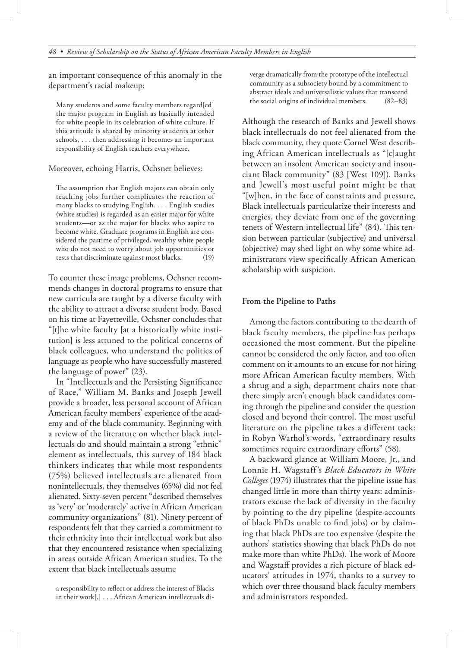an important consequence of this anomaly in the department's racial makeup:

Many students and some faculty members regard[ed] the major program in English as basically intended for white people in its celebration of white culture. If this attitude is shared by minority students at other schools, . . . then addressing it becomes an important responsibility of English teachers everywhere.

Moreover, echoing Harris, Ochsner believes:

The assumption that English majors can obtain only teaching jobs further complicates the reaction of many blacks to studying English. . . . English studies (white studies) is regarded as an easier major for white students—or as the major for blacks who aspire to become white. Graduate programs in English are considered the pastime of privileged, wealthy white people who do not need to worry about job opportunities or tests that discriminate against most blacks. (19)

To counter these image problems, Ochsner recommends changes in doctoral programs to ensure that new curricula are taught by a diverse faculty with the ability to attract a diverse student body. Based on his time at Fayetteville, Ochsner concludes that "[t]he white faculty [at a historically white institution] is less attuned to the political concerns of black colleagues, who understand the politics of language as people who have successfully mastered the language of power" (23).

In "Intellectuals and the Persisting Significance of Race," William M. Banks and Joseph Jewell provide a broader, less personal account of African American faculty members' experience of the academy and of the black community. Beginning with a review of the literature on whether black intellectuals do and should maintain a strong "ethnic" element as intellectuals, this survey of 184 black thinkers indicates that while most respondents (75%) believed intellectuals are alienated from nonintellectuals, they themselves (65%) did not feel alienated. Sixty-seven percent "described themselves as 'very' or 'moderately' active in African American community organizations" (81). Ninety percent of respondents felt that they carried a commitment to their ethnicity into their intellectual work but also that they encountered resistance when specializing in areas outside African American studies. To the extent that black intellectuals assume

a responsibility to reflect or address the interest of Blacks in their work[,] . . . African American intellectuals diverge dramatically from the prototype of the intellectual community as a subsociety bound by a commitment to abstract ideals and universalistic values that transcend the social origins of individual members. (82–83)

Although the research of Banks and Jewell shows black intellectuals do not feel alienated from the black community, they quote Cornel West describing African American intellectuals as "[c]aught between an insolent American society and insouciant Black community" (83 [West 109]). Banks and Jewell's most useful point might be that "[w]hen, in the face of constraints and pressure, Black intellectuals particularize their interests and energies, they deviate from one of the governing tenets of Western intellectual life" (84). This tension between particular (subjective) and universal (objective) may shed light on why some white administrators view specifically African American scholarship with suspicion.

## **From the Pipeline to Paths**

Among the factors contributing to the dearth of black faculty members, the pipeline has perhaps occasioned the most comment. But the pipeline cannot be considered the only factor, and too often comment on it amounts to an excuse for not hiring more African American faculty members. With a shrug and a sigh, department chairs note that there simply aren't enough black candidates coming through the pipeline and consider the question closed and beyond their control. The most useful literature on the pipeline takes a different tack: in Robyn Warhol's words, "extraordinary results sometimes require extraordinary efforts" (58).

A backward glance at William Moore, Jr., and Lonnie H. Wagstaff's *Black Educators in White Colleges* (1974) illustrates that the pipeline issue has changed little in more than thirty years: administrators excuse the lack of diversity in the faculty by pointing to the dry pipeline (despite accounts of black PhDs unable to find jobs) or by claiming that black PhDs are too expensive (despite the authors' statistics showing that black PhDs do not make more than white PhDs). The work of Moore and Wagstaff provides a rich picture of black educators' attitudes in 1974, thanks to a survey to which over three thousand black faculty members and administrators responded.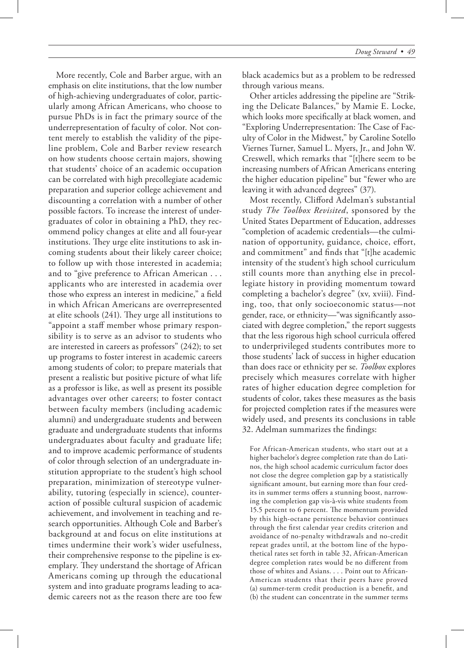More recently, Cole and Barber argue, with an emphasis on elite institutions, that the low number of high-achieving undergraduates of color, particularly among African Americans, who choose to pursue PhDs is in fact the primary source of the underrepresentation of faculty of color. Not content merely to establish the validity of the pipeline problem, Cole and Barber review research on how students choose certain majors, showing that students' choice of an academic occupation can be correlated with high precollegiate academic preparation and superior college achievement and discounting a correlation with a number of other possible factors. To increase the interest of undergraduates of color in obtaining a PhD, they recommend policy changes at elite and all four-year institutions. They urge elite institutions to ask incoming students about their likely career choice; to follow up with those interested in academia; and to "give preference to African American . . . applicants who are interested in academia over those who express an interest in medicine," a field in which African Americans are overrepresented at elite schools  $(241)$ . They urge all institutions to "appoint a staff member whose primary responsibility is to serve as an advisor to students who are interested in careers as professors" (242); to set up programs to foster interest in academic careers among students of color; to prepare materials that present a realistic but positive picture of what life as a professor is like, as well as present its possible advantages over other careers; to foster contact between faculty members (including academic alumni) and undergraduate students and between graduate and undergraduate students that informs undergraduates about faculty and graduate life; and to improve academic performance of students of color through selection of an undergraduate institution appropriate to the student's high school preparation, minimization of stereotype vulnerability, tutoring (especially in science), counteraction of possible cultural suspicion of academic achievement, and involvement in teaching and research opportunities. Although Cole and Barber's background at and focus on elite institutions at times undermine their work's wider usefulness, their comprehensive response to the pipeline is exemplary. They understand the shortage of African Americans coming up through the educational system and into graduate programs leading to academic careers not as the reason there are too few

black academics but as a problem to be redressed through various means.

Other articles addressing the pipeline are "Striking the Delicate Balances," by Mamie E. Locke, which looks more specifically at black women, and "Exploring Underrepresentation: The Case of Faculty of Color in the Midwest," by Caroline Sotello Viernes Turner, Samuel L. Myers, Jr., and John W. Creswell, which remarks that "[t]here seem to be increasing numbers of African Americans entering the higher education pipeline" but "fewer who are leaving it with advanced degrees" (37).

Most recently, Clifford Adelman's substantial study *The Toolbox Revisited*, sponsored by the United States Department of Education, addresses "completion of academic credentials—the culmination of opportunity, guidance, choice, effort, and commitment" and finds that "[t]he academic intensity of the student's high school curriculum still counts more than anything else in precollegiate history in providing momentum toward completing a bachelor's degree" (xv, xviii). Finding, too, that only socioeconomic status—not gender, race, or ethnicity—"was significantly associated with degree completion," the report suggests that the less rigorous high school curricula offered to underprivileged students contributes more to those students' lack of success in higher education than does race or ethnicity per se. *Toolbox* explores precisely which measures correlate with higher rates of higher education degree completion for students of color, takes these measures as the basis for projected completion rates if the measures were widely used, and presents its conclusions in table 32. Adelman summarizes the findings:

For African-American students, who start out at a higher bachelor's degree completion rate than do Latinos, the high school academic curriculum factor does not close the degree completion gap by a statistically significant amount, but earning more than four credits in summer terms offers a stunning boost, narrowing the completion gap vis-à-vis white students from 15.5 percent to 6 percent. The momentum provided by this high-octane persistence behavior continues through the first calendar year credits criterion and avoidance of no-penalty withdrawals and no-credit repeat grades until, at the bottom line of the hypothetical rates set forth in table 32, African-American degree completion rates would be no different from those of whites and Asians. . . . Point out to African-American students that their peers have proved (a) summer-term credit production is a benefit, and (b) the student can concentrate in the summer terms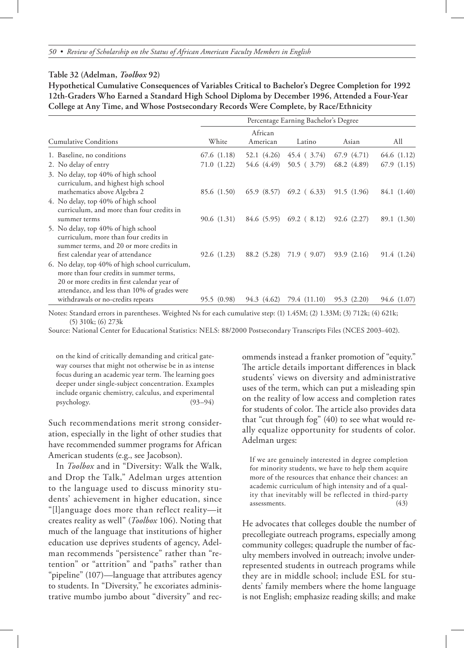### **Table 32 (Adelman,** *Toolbox* **92)**

**Hypothetical Cumulative Consequences of Variables Critical to Bachelor's Degree Completion for 1992 12th-Graders Who Earned a Standard High School Diploma by December 1996, Attended a Four-Year College at Any Time, and Whose Postsecondary Records Were Complete, by Race/Ethnicity**

| <b>Cumulative Conditions</b>                                                                                                                                                               | Percentage Earning Bachelor's Degree |                     |                          |             |             |
|--------------------------------------------------------------------------------------------------------------------------------------------------------------------------------------------|--------------------------------------|---------------------|--------------------------|-------------|-------------|
|                                                                                                                                                                                            | White                                | African<br>American | Latino                   | Asian       | All         |
| 1. Baseline, no conditions                                                                                                                                                                 | 67.6(1.18)                           | 52.1 (4.26)         | 45.4 ( 3.74)             | 67.9 (4.71) | 64.6 (1.12) |
| 2. No delay of entry                                                                                                                                                                       | 71.0 (1.22)                          | 54.6 (4.49)         | 50.5(3.79)               | 68.2 (4.89) | 67.9(1.15)  |
| 3. No delay, top 40% of high school<br>curriculum, and highest high school<br>mathematics above Algebra 2                                                                                  | 85.6 (1.50)                          | 65.9 (8.57)         | $69.2$ (6.33)            | 91.5 (1.96) | 84.1 (1.40) |
| 4. No delay, top 40% of high school<br>curriculum, and more than four credits in<br>summer terms                                                                                           | 90.6 (1.31)                          |                     | 84.6(5.95)69.2(8.12)     | 92.6(2.27)  | 89.1 (1.30) |
| 5. No delay, top 40% of high school<br>curriculum, more than four credits in<br>summer terms, and 20 or more credits in                                                                    |                                      |                     |                          |             |             |
| first calendar year of attendance                                                                                                                                                          | 92.6 (1.23)                          |                     | 88.2 (5.28) 71.9 ( 9.07) | 93.9 (2.16) | 91.4 (1.24) |
| 6. No delay, top 40% of high school curriculum,<br>more than four credits in summer terms,<br>20 or more credits in first calendar year of<br>attendance, and less than 10% of grades were |                                      |                     |                          |             |             |
| withdrawals or no-credits repeats                                                                                                                                                          | 95.5 (0.98)                          | 94.3 (4.62)         | 79.4 (11.10)             | 95.3 (2.20) | 94.6 (1.07) |

Notes: Standard errors in parentheses. Weighted Ns for each cumulative step: (1) 1.45M; (2) 1.33M; (3) 712k; (4) 621k; (5) 310k; (6) 273k

Source: National Center for Educational Statistics: NELS: 88/2000 Postsecondary Transcripts Files (NCES 2003-402).

on the kind of critically demanding and critical gateway courses that might not otherwise be in as intense focus during an academic year term. The learning goes deeper under single-subject concentration. Examples include organic chemistry, calculus, and experimental psychology. (93–94)

Such recommendations merit strong consideration, especially in the light of other studies that have recommended summer programs for African American students (e.g., see Jacobson).

In *Toolbox* and in "Diversity: Walk the Walk, and Drop the Talk," Adelman urges attention to the language used to discuss minority students' achievement in higher education, since "[l]anguage does more than reflect reality—it creates reality as well" (*Toolbox* 106). Noting that much of the language that institutions of higher education use deprives students of agency, Adelman recommends "persistence" rather than "retention" or "attrition" and "paths" rather than "pipeline" (107)—language that attributes agency to students. In "Diversity," he excoriates administrative mumbo jumbo about "diversity" and recommends instead a franker promotion of "equity." The article details important differences in black students' views on diversity and administrative uses of the term, which can put a misleading spin on the reality of low access and completion rates for students of color. The article also provides data that "cut through fog" (40) to see what would really equalize opportunity for students of color. Adelman urges:

If we are genuinely interested in degree completion for minority students, we have to help them acquire more of the resources that enhance their chances: an academic curriculum of high intensity and of a quality that inevitably will be reflected in third-party assessments. (43)

He advocates that colleges double the number of precollegiate outreach programs, especially among community colleges; quadruple the number of faculty members involved in outreach; involve underrepresented students in outreach programs while they are in middle school; include ESL for students' family members where the home language is not English; emphasize reading skills; and make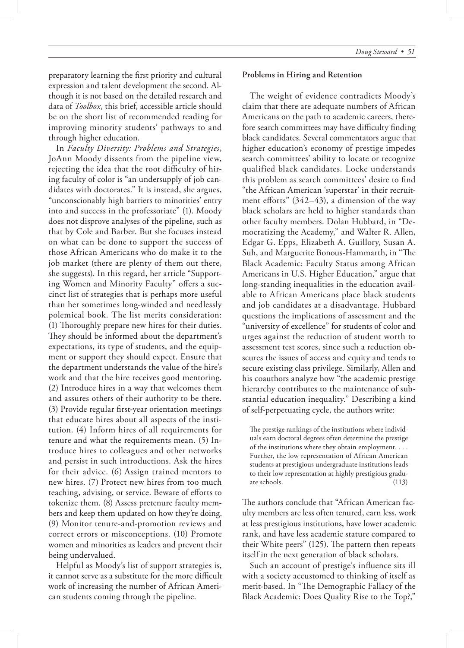preparatory learning the first priority and cultural expression and talent development the second. Although it is not based on the detailed research and data of *Toolbox*, this brief, accessible article should be on the short list of recommended reading for improving minority students' pathways to and through higher education.

In *Faculty Diversity: Problems and Strategies*, JoAnn Moody dissents from the pipeline view, rejecting the idea that the root difficulty of hiring faculty of color is "an undersupply of job candidates with doctorates." It is instead, she argues, "unconscionably high barriers to minorities' entry into and success in the professoriate" (1). Moody does not disprove analyses of the pipeline, such as that by Cole and Barber. But she focuses instead on what can be done to support the success of those African Americans who do make it to the job market (there are plenty of them out there, she suggests). In this regard, her article "Supporting Women and Minority Faculty" offers a succinct list of strategies that is perhaps more useful than her sometimes long-winded and needlessly polemical book. The list merits consideration: (1) Thoroughly prepare new hires for their duties. They should be informed about the department's expectations, its type of students, and the equipment or support they should expect. Ensure that the department understands the value of the hire's work and that the hire receives good mentoring. (2) Introduce hires in a way that welcomes them and assures others of their authority to be there. (3) Provide regular first-year orientation meetings that educate hires about all aspects of the institution. (4) Inform hires of all requirements for tenure and what the requirements mean. (5) Introduce hires to colleagues and other networks and persist in such introductions. Ask the hires for their advice. (6) Assign trained mentors to new hires. (7) Protect new hires from too much teaching, advising, or service. Beware of efforts to tokenize them. (8) Assess pretenure faculty members and keep them updated on how they're doing. (9) Monitor tenure-and-promotion reviews and correct errors or misconceptions. (10) Promote women and minorities as leaders and prevent their being undervalued.

Helpful as Moody's list of support strategies is, it cannot serve as a substitute for the more difficult work of increasing the number of African American students coming through the pipeline.

#### **Problems in Hiring and Retention**

The weight of evidence contradicts Moody's claim that there are adequate numbers of African Americans on the path to academic careers, therefore search committees may have difficulty finding black candidates. Several commentators argue that higher education's economy of prestige impedes search committees' ability to locate or recognize qualified black candidates. Locke understands this problem as search committees' desire to find "the African American 'superstar' in their recruitment efforts" (342–43), a dimension of the way black scholars are held to higher standards than other faculty members. Dolan Hubbard, in "Democratizing the Academy," and Walter R. Allen, Edgar G. Epps, Elizabeth A. Guillory, Susan A. Suh, and Marguerite Bonous-Hammarth, in "The Black Academic: Faculty Status among African Americans in U.S. Higher Education," argue that long-standing inequalities in the education available to African Americans place black students and job candidates at a disadvantage. Hubbard questions the implications of assessment and the "university of excellence" for students of color and urges against the reduction of student worth to assessment test scores, since such a reduction obscures the issues of access and equity and tends to secure existing class privilege. Similarly, Allen and his coauthors analyze how "the academic prestige hierarchy contributes to the maintenance of substantial education inequality." Describing a kind of self-perpetuating cycle, the authors write:

The prestige rankings of the institutions where individuals earn doctoral degrees often determine the prestige of the institutions where they obtain employment. . . . Further, the low representation of African American students at prestigious undergraduate institutions leads to their low representation at highly prestigious graduate schools. (113)

The authors conclude that "African American faculty members are less often tenured, earn less, work at less prestigious institutions, have lower academic rank, and have less academic stature compared to their White peers"  $(125)$ . The pattern then repeats itself in the next generation of black scholars.

Such an account of prestige's influence sits ill with a society accustomed to thinking of itself as merit-based. In "The Demographic Fallacy of the Black Academic: Does Quality Rise to the Top?,"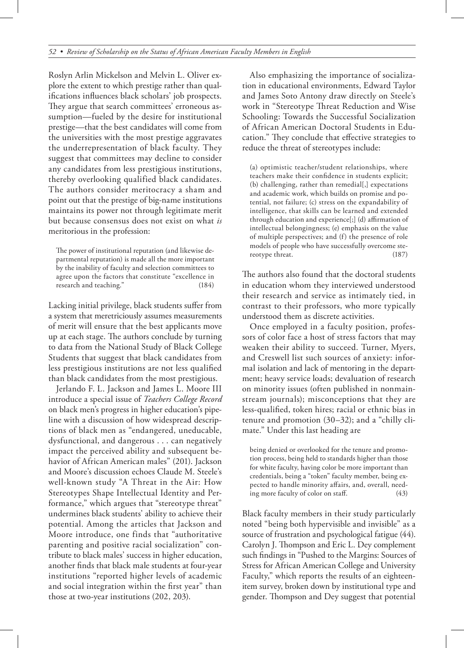Roslyn Arlin Mickelson and Melvin L. Oliver explore the extent to which prestige rather than qualifications influences black scholars' job prospects. They argue that search committees' erroneous assumption—fueled by the desire for institutional prestige—that the best candidates will come from the universities with the most prestige aggravates the underrepresentation of black faculty. They suggest that committees may decline to consider any candidates from less prestigious institutions, thereby overlooking qualified black candidates. The authors consider meritocracy a sham and point out that the prestige of big-name institutions maintains its power not through legitimate merit but because consensus does not exist on what *is*  meritorious in the profession:

The power of institutional reputation (and likewise departmental reputation) is made all the more important by the inability of faculty and selection committees to agree upon the factors that constitute "excellence in research and teaching." (184)

Lacking initial privilege, black students suffer from a system that meretriciously assumes measurements of merit will ensure that the best applicants move up at each stage. The authors conclude by turning to data from the National Study of Black College Students that suggest that black candidates from less prestigious institutions are not less qualified than black candidates from the most prestigious.

Jerlando F. L. Jackson and James L. Moore III introduce a special issue of *Teachers College Record* on black men's progress in higher education's pipeline with a discussion of how widespread descriptions of black men as "endangered, uneducable, dysfunctional, and dangerous . . . can negatively impact the perceived ability and subsequent behavior of African American males" (201). Jackson and Moore's discussion echoes Claude M. Steele's well-known study "A Threat in the Air: How Stereotypes Shape Intellectual Identity and Performance," which argues that "stereotype threat" undermines black students' ability to achieve their potential. Among the articles that Jackson and Moore introduce, one finds that "authoritative parenting and positive racial socialization" contribute to black males' success in higher education, another finds that black male students at four-year institutions "reported higher levels of academic and social integration within the first year" than those at two-year institutions (202, 203).

Also emphasizing the importance of socialization in educational environments, Edward Taylor and James Soto Antony draw directly on Steele's work in "Stereotype Threat Reduction and Wise Schooling: Towards the Successful Socialization of African American Doctoral Students in Education." They conclude that effective strategies to reduce the threat of stereotypes include:

(a) optimistic teacher/student relationships, where teachers make their confidence in students explicit; (b) challenging, rather than remedial[,] expectations and academic work, which builds on promise and potential, not failure; (c) stress on the expandability of intelligence, that skills can be learned and extended through education and experience[;] (d) affirmation of intellectual belongingness; (e) emphasis on the value of multiple perspectives; and (f) the presence of role models of people who have successfully overcome stereotype threat. (187)

The authors also found that the doctoral students in education whom they interviewed understood their research and service as intimately tied, in contrast to their professors, who more typically understood them as discrete activities.

Once employed in a faculty position, professors of color face a host of stress factors that may weaken their ability to succeed. Turner, Myers, and Creswell list such sources of anxiety: informal isolation and lack of mentoring in the department; heavy service loads; devaluation of research on minority issues (often published in nonmainstream journals); misconceptions that they are less-qualified, token hires; racial or ethnic bias in tenure and promotion (30–32); and a "chilly climate." Under this last heading are

being denied or overlooked for the tenure and promotion process, being held to standards higher than those for white faculty, having color be more important than credentials, being a "token" faculty member, being expected to handle minority affairs, and, overall, needing more faculty of color on staff. (43)

Black faculty members in their study particularly noted "being both hypervisible and invisible" as a source of frustration and psychological fatigue (44). Carolyn J. Thompson and Eric L. Dey complement such findings in "Pushed to the Margins: Sources of Stress for African American College and University Faculty," which reports the results of an eighteenitem survey, broken down by institutional type and gender. Thompson and Dey suggest that potential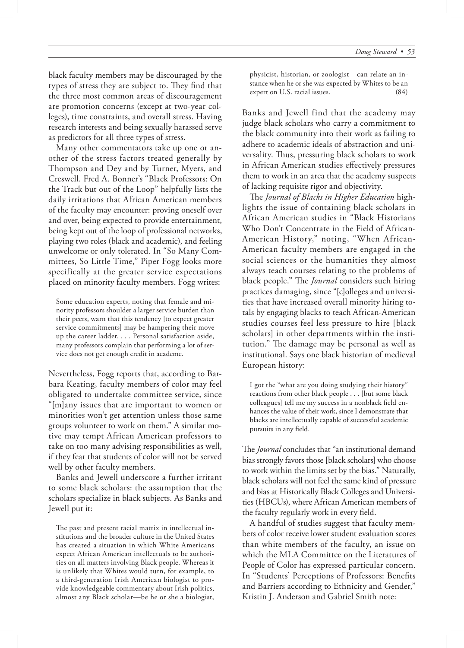black faculty members may be discouraged by the types of stress they are subject to. They find that the three most common areas of discouragement are promotion concerns (except at two-year colleges), time constraints, and overall stress. Having research interests and being sexually harassed serve as predictors for all three types of stress.

Many other commentators take up one or another of the stress factors treated generally by Thompson and Dey and by Turner, Myers, and Creswell. Fred A. Bonner's "Black Professors: On the Track but out of the Loop" helpfully lists the daily irritations that African American members of the faculty may encounter: proving oneself over and over, being expected to provide entertainment, being kept out of the loop of professional networks, playing two roles (black and academic), and feeling unwelcome or only tolerated. In "So Many Committees, So Little Time," Piper Fogg looks more specifically at the greater service expectations placed on minority faculty members. Fogg writes:

Some education experts, noting that female and minority professors shoulder a larger service burden than their peers, warn that this tendency [to expect greater service commitments] may be hampering their move up the career ladder. . . . Personal satisfaction aside, many professors complain that performing a lot of service does not get enough credit in academe.

Nevertheless, Fogg reports that, according to Barbara Keating, faculty members of color may feel obligated to undertake committee service, since "[m]any issues that are important to women or minorities won't get attention unless those same groups volunteer to work on them." A similar motive may tempt African American professors to take on too many advising responsibilities as well, if they fear that students of color will not be served well by other faculty members.

Banks and Jewell underscore a further irritant to some black scholars: the assumption that the scholars specialize in black subjects. As Banks and Jewell put it:

The past and present racial matrix in intellectual institutions and the broader culture in the United States has created a situation in which White Americans expect African American intellectuals to be authorities on all matters involving Black people. Whereas it is unlikely that Whites would turn, for example, to a third-generation Irish American biologist to provide knowledgeable commentary about Irish politics, almost any Black scholar—be he or she a biologist,

physicist, historian, or zoologist—can relate an instance when he or she was expected by Whites to be an expert on U.S. racial issues. (84)

Banks and Jewell find that the academy may judge black scholars who carry a commitment to the black community into their work as failing to adhere to academic ideals of abstraction and universality. Thus, pressuring black scholars to work in African American studies effectively pressures them to work in an area that the academy suspects of lacking requisite rigor and objectivity.

The Journal of Blacks in Higher Education highlights the issue of containing black scholars in African American studies in "Black Historians Who Don't Concentrate in the Field of African-American History," noting, "When African-American faculty members are engaged in the social sciences or the humanities they almost always teach courses relating to the problems of black people." The *Journal* considers such hiring practices damaging, since "[c]olleges and universities that have increased overall minority hiring totals by engaging blacks to teach African-American studies courses feel less pressure to hire [black scholars] in other departments within the institution." The damage may be personal as well as institutional. Says one black historian of medieval European history:

I got the "what are you doing studying their history" reactions from other black people . . . [but some black colleagues] tell me my success in a nonblack field enhances the value of their work, since I demonstrate that blacks are intellectually capable of successful academic pursuits in any field.

The *Journal* concludes that "an institutional demand bias strongly favors those [black scholars] who choose to work within the limits set by the bias." Naturally, black scholars will not feel the same kind of pressure and bias at Historically Black Colleges and Universities (HBCUs), where African American members of the faculty regularly work in every field.

A handful of studies suggest that faculty members of color receive lower student evaluation scores than white members of the faculty, an issue on which the MLA Committee on the Literatures of People of Color has expressed particular concern. In "Students' Perceptions of Professors: Benefits and Barriers according to Ethnicity and Gender," Kristin J. Anderson and Gabriel Smith note: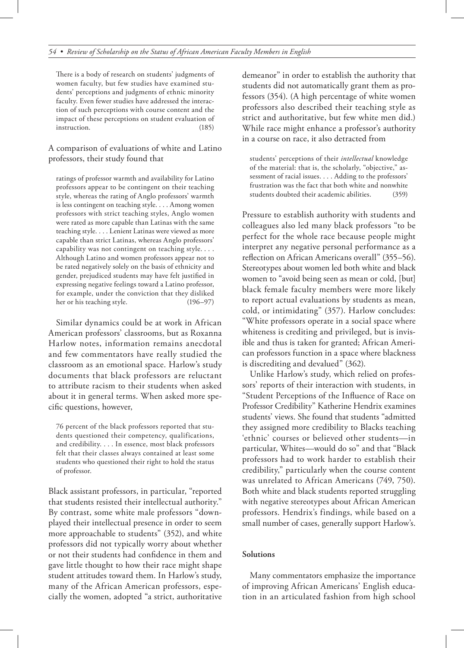There is a body of research on students' judgments of women faculty, but few studies have examined students' perceptions and judgments of ethnic minority faculty. Even fewer studies have addressed the interaction of such perceptions with course content and the impact of these perceptions on student evaluation of instruction. (185)

A comparison of evaluations of white and Latino professors, their study found that

ratings of professor warmth and availability for Latino professors appear to be contingent on their teaching style, whereas the rating of Anglo professors' warmth is less contingent on teaching style. . . . Among women professors with strict teaching styles, Anglo women were rated as more capable than Latinas with the same teaching style. . . . Lenient Latinas were viewed as more capable than strict Latinas, whereas Anglo professors' capability was not contingent on teaching style. . . . Although Latino and women professors appear not to be rated negatively solely on the basis of ethnicity and gender, prejudiced students may have felt justified in expressing negative feelings toward a Latino professor, for example, under the conviction that they disliked her or his teaching style. (196–97)

Similar dynamics could be at work in African American professors' classrooms, but as Roxanna Harlow notes, information remains anecdotal and few commentators have really studied the classroom as an emotional space. Harlow's study documents that black professors are reluctant to attribute racism to their students when asked about it in general terms. When asked more specific questions, however,

76 percent of the black professors reported that students questioned their competency, qualifications, and credibility. . . . In essence, most black professors felt that their classes always contained at least some students who questioned their right to hold the status of professor.

Black assistant professors, in particular, "reported that students resisted their intellectual authority." By contrast, some white male professors "downplayed their intellectual presence in order to seem more approachable to students" (352), and white professors did not typically worry about whether or not their students had confidence in them and gave little thought to how their race might shape student attitudes toward them. In Harlow's study, many of the African American professors, especially the women, adopted "a strict, authoritative demeanor" in order to establish the authority that students did not automatically grant them as professors (354). (A high percentage of white women professors also described their teaching style as strict and authoritative, but few white men did.) While race might enhance a professor's authority in a course on race, it also detracted from

students' perceptions of their *intellectual* knowledge of the material: that is, the scholarly, "objective," assessment of racial issues. . . . Adding to the professors' frustration was the fact that both white and nonwhite students doubted their academic abilities. (359)

Pressure to establish authority with students and colleagues also led many black professors "to be perfect for the whole race because people might interpret any negative personal performance as a reflection on African Americans overall" (355–56). Stereotypes about women led both white and black women to "avoid being seen as mean or cold, [but] black female faculty members were more likely to report actual evaluations by students as mean, cold, or intimidating" (357). Harlow concludes: "White professors operate in a social space where whiteness is crediting and privileged, but is invisible and thus is taken for granted; African American professors function in a space where blackness is discrediting and devalued" (362).

Unlike Harlow's study, which relied on professors' reports of their interaction with students, in "Student Perceptions of the Influence of Race on Professor Credibility" Katherine Hendrix examines students' views. She found that students "admitted they assigned more credibility to Blacks teaching 'ethnic' courses or believed other students—in particular, Whites—would do so" and that "Black professors had to work harder to establish their credibility," particularly when the course content was unrelated to African Americans (749, 750). Both white and black students reported struggling with negative stereotypes about African American professors. Hendrix's findings, while based on a small number of cases, generally support Harlow's.

# **Solutions**

Many commentators emphasize the importance of improving African Americans' English education in an articulated fashion from high school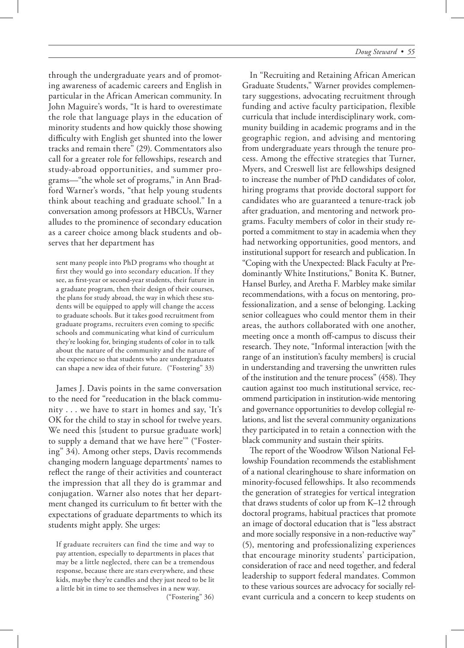through the undergraduate years and of promoting awareness of academic careers and English in particular in the African American community. In John Maguire's words, "It is hard to overestimate the role that language plays in the education of minority students and how quickly those showing difficulty with English get shunted into the lower tracks and remain there" (29). Commentators also call for a greater role for fellowships, research and study-abroad opportunities, and summer programs—"the whole set of programs," in Ann Bradford Warner's words, "that help young students think about teaching and graduate school." In a conversation among professors at HBCUs, Warner alludes to the prominence of secondary education as a career choice among black students and observes that her department has

sent many people into PhD programs who thought at first they would go into secondary education. If they see, as first-year or second-year students, their future in a graduate program, then their design of their courses, the plans for study abroad, the way in which these students will be equipped to apply will change the access to graduate schools. But it takes good recruitment from graduate programs, recruiters even coming to specific schools and communicating what kind of curriculum they're looking for, bringing students of color in to talk about the nature of the community and the nature of the experience so that students who are undergraduates can shape a new idea of their future. ("Fostering" 33)

James J. Davis points in the same conversation to the need for "reeducation in the black community . . . we have to start in homes and say, 'It's OK for the child to stay in school for twelve years. We need this [student to pursue graduate work] to supply a demand that we have here'" ("Fostering" 34). Among other steps, Davis recommends changing modern language departments' names to reflect the range of their activities and counteract the impression that all they do is grammar and conjugation. Warner also notes that her department changed its curriculum to fit better with the expectations of graduate departments to which its students might apply. She urges:

If graduate recruiters can find the time and way to pay attention, especially to departments in places that may be a little neglected, there can be a tremendous response, because there are stars everywhere, and these kids, maybe they're candles and they just need to be lit a little bit in time to see themselves in a new way.

("Fostering" 36)

In "Recruiting and Retaining African American Graduate Students," Warner provides complementary suggestions, advocating recruitment through funding and active faculty participation, flexible curricula that include interdisciplinary work, community building in academic programs and in the geographic region, and advising and mentoring from undergraduate years through the tenure process. Among the effective strategies that Turner, Myers, and Creswell list are fellowships designed to increase the number of PhD candidates of color, hiring programs that provide doctoral support for candidates who are guaranteed a tenure-track job after graduation, and mentoring and network programs. Faculty members of color in their study reported a commitment to stay in academia when they had networking opportunities, good mentors, and institutional support for research and publication. In "Coping with the Unexpected: Black Faculty at Predominantly White Institutions," Bonita K. Butner, Hansel Burley, and Aretha F. Marbley make similar recommendations, with a focus on mentoring, professionalization, and a sense of belonging. Lacking senior colleagues who could mentor them in their areas, the authors collaborated with one another, meeting once a month off-campus to discuss their research. They note, "Informal interaction [with the range of an institution's faculty members] is crucial in understanding and traversing the unwritten rules of the institution and the tenure process"  $(458)$ . They caution against too much institutional service, recommend participation in institution-wide mentoring and governance opportunities to develop collegial relations, and list the several community organizations they participated in to retain a connection with the black community and sustain their spirits.

The report of the Woodrow Wilson National Fellowship Foundation recommends the establishment of a national clearinghouse to share information on minority-focused fellowships. It also recommends the generation of strategies for vertical integration that draws students of color up from K–12 through doctoral programs, habitual practices that promote an image of doctoral education that is "less abstract and more socially responsive in a non-reductive way" (5), mentoring and professionalizing experiences that encourage minority students' participation, consideration of race and need together, and federal leadership to support federal mandates. Common to these various sources are advocacy for socially relevant curricula and a concern to keep students on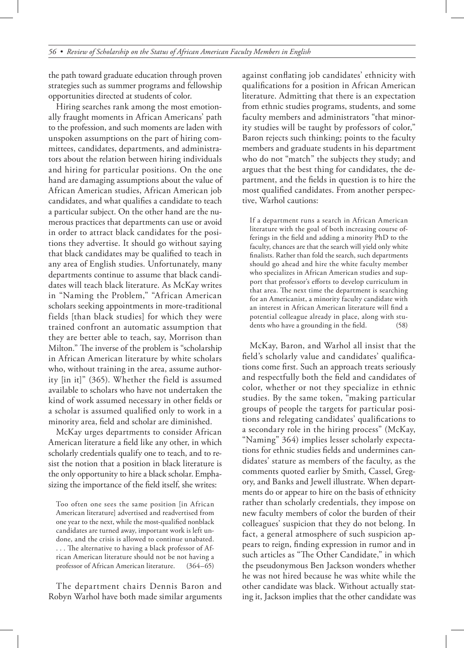the path toward graduate education through proven strategies such as summer programs and fellowship opportunities directed at students of color.

Hiring searches rank among the most emotionally fraught moments in African Americans' path to the profession, and such moments are laden with unspoken assumptions on the part of hiring committees, candidates, departments, and administrators about the relation between hiring individuals and hiring for particular positions. On the one hand are damaging assumptions about the value of African American studies, African American job candidates, and what qualifies a candidate to teach a particular subject. On the other hand are the numerous practices that departments can use or avoid in order to attract black candidates for the positions they advertise. It should go without saying that black candidates may be qualified to teach in any area of English studies. Unfortunately, many departments continue to assume that black candidates will teach black literature. As McKay writes in "Naming the Problem," "African American scholars seeking appointments in more-traditional fields [than black studies] for which they were trained confront an automatic assumption that they are better able to teach, say, Morrison than Milton." The inverse of the problem is "scholarship" in African American literature by white scholars who, without training in the area, assume authority [in it]" (365). Whether the field is assumed available to scholars who have not undertaken the kind of work assumed necessary in other fields or a scholar is assumed qualified only to work in a minority area, field and scholar are diminished.

McKay urges departments to consider African American literature a field like any other, in which scholarly credentials qualify one to teach, and to resist the notion that a position in black literature is the only opportunity to hire a black scholar. Emphasizing the importance of the field itself, she writes:

Too often one sees the same position [in African American literature] advertised and readvertised from one year to the next, while the most-qualified nonblack candidates are turned away, important work is left undone, and the crisis is allowed to continue unabated. ... The alternative to having a black professor of African American literature should not be not having a professor of African American literature. (364–65)

The department chairs Dennis Baron and Robyn Warhol have both made similar arguments

against conflating job candidates' ethnicity with qualifications for a position in African American literature. Admitting that there is an expectation from ethnic studies programs, students, and some faculty members and administrators "that minority studies will be taught by professors of color," Baron rejects such thinking; points to the faculty members and graduate students in his department who do not "match" the subjects they study; and argues that the best thing for candidates, the department, and the fields in question is to hire the most qualified candidates. From another perspective, Warhol cautions:

If a department runs a search in African American literature with the goal of both increasing course offerings in the field and adding a minority PhD to the faculty, chances are that the search will yield only white finalists. Rather than fold the search, such departments should go ahead and hire the white faculty member who specializes in African American studies and support that professor's efforts to develop curriculum in that area. The next time the department is searching for an Americanist, a minority faculty candidate with an interest in African American literature will find a potential colleague already in place, along with students who have a grounding in the field. (58)

McKay, Baron, and Warhol all insist that the field's scholarly value and candidates' qualifications come first. Such an approach treats seriously and respectfully both the field and candidates of color, whether or not they specialize in ethnic studies. By the same token, "making particular groups of people the targets for particular positions and relegating candidates' qualifications to a secondary role in the hiring process" (McKay, "Naming" 364) implies lesser scholarly expectations for ethnic studies fields and undermines candidates' stature as members of the faculty, as the comments quoted earlier by Smith, Cassel, Gregory, and Banks and Jewell illustrate. When departments do or appear to hire on the basis of ethnicity rather than scholarly credentials, they impose on new faculty members of color the burden of their colleagues' suspicion that they do not belong. In fact, a general atmosphere of such suspicion appears to reign, finding expression in rumor and in such articles as "The Other Candidate," in which the pseudonymous Ben Jackson wonders whether he was not hired because he was white while the other candidate was black. Without actually stating it, Jackson implies that the other candidate was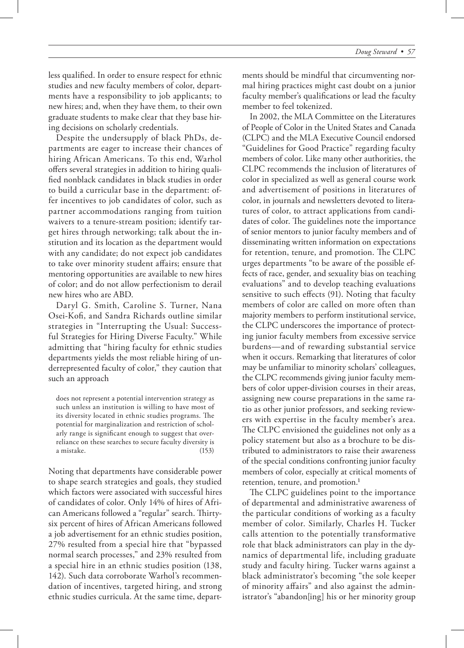less qualified. In order to ensure respect for ethnic studies and new faculty members of color, departments have a responsibility to job applicants; to new hires; and, when they have them, to their own graduate students to make clear that they base hiring decisions on scholarly credentials.

Despite the undersupply of black PhDs, departments are eager to increase their chances of hiring African Americans. To this end, Warhol offers several strategies in addition to hiring qualified nonblack candidates in black studies in order to build a curricular base in the department: offer incentives to job candidates of color, such as partner accommodations ranging from tuition waivers to a tenure-stream position; identify target hires through networking; talk about the institution and its location as the department would with any candidate; do not expect job candidates to take over minority student affairs; ensure that mentoring opportunities are available to new hires of color; and do not allow perfectionism to derail new hires who are ABD.

Daryl G. Smith, Caroline S. Turner, Nana Osei-Kofi, and Sandra Richards outline similar strategies in "Interrupting the Usual: Successful Strategies for Hiring Diverse Faculty." While admitting that "hiring faculty for ethnic studies departments yields the most reliable hiring of underrepresented faculty of color," they caution that such an approach

does not represent a potential intervention strategy as such unless an institution is willing to have most of its diversity located in ethnic studies programs. The potential for marginalization and restriction of scholarly range is significant enough to suggest that overreliance on these searches to secure faculty diversity is a mistake. (153)

Noting that departments have considerable power to shape search strategies and goals, they studied which factors were associated with successful hires of candidates of color. Only 14% of hires of African Americans followed a "regular" search. Thirtysix percent of hires of African Americans followed a job advertisement for an ethnic studies position, 27% resulted from a special hire that "bypassed normal search processes," and 23% resulted from a special hire in an ethnic studies position (138, 142). Such data corroborate Warhol's recommendation of incentives, targeted hiring, and strong ethnic studies curricula. At the same time, departments should be mindful that circumventing normal hiring practices might cast doubt on a junior faculty member's qualifications or lead the faculty member to feel tokenized.

In 2002, the MLA Committee on the Literatures of People of Color in the United States and Canada (CLPC) and the MLA Executive Council endorsed "Guidelines for Good Practice" regarding faculty members of color. Like many other authorities, the CLPC recommends the inclusion of literatures of color in specialized as well as general course work and advertisement of positions in literatures of color, in journals and newsletters devoted to literatures of color, to attract applications from candidates of color. The guidelines note the importance of senior mentors to junior faculty members and of disseminating written information on expectations for retention, tenure, and promotion. The CLPC urges departments "to be aware of the possible effects of race, gender, and sexuality bias on teaching evaluations" and to develop teaching evaluations sensitive to such effects (91). Noting that faculty members of color are called on more often than majority members to perform institutional service, the CLPC underscores the importance of protecting junior faculty members from excessive service burdens—and of rewarding substantial service when it occurs. Remarking that literatures of color may be unfamiliar to minority scholars' colleagues, the CLPC recommends giving junior faculty members of color upper-division courses in their areas, assigning new course preparations in the same ratio as other junior professors, and seeking reviewers with expertise in the faculty member's area. The CLPC envisioned the guidelines not only as a policy statement but also as a brochure to be distributed to administrators to raise their awareness of the special conditions confronting junior faculty members of color, especially at critical moments of retention, tenure, and promotion.<sup>1</sup>

The CLPC guidelines point to the importance of departmental and administrative awareness of the particular conditions of working as a faculty member of color. Similarly, Charles H. Tucker calls attention to the potentially transformative role that black administrators can play in the dynamics of departmental life, including graduate study and faculty hiring. Tucker warns against a black administrator's becoming "the sole keeper of minority affairs" and also against the administrator's "abandon[ing] his or her minority group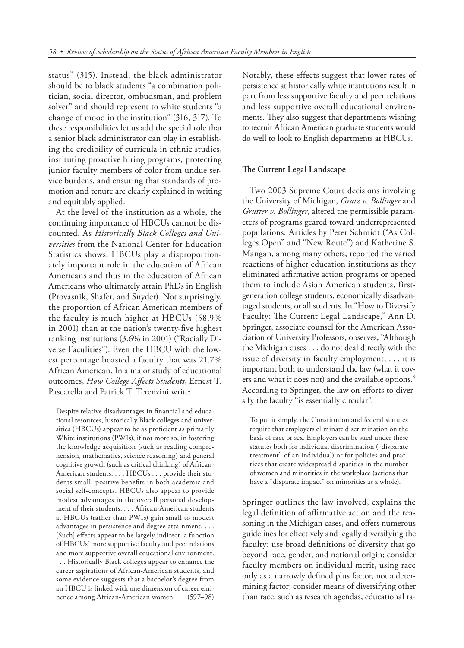status" (315). Instead, the black administrator should be to black students "a combination politician, social director, ombudsman, and problem solver" and should represent to white students "a change of mood in the institution" (316, 317). To these responsibilities let us add the special role that a senior black administrator can play in establishing the credibility of curricula in ethnic studies, instituting proactive hiring programs, protecting junior faculty members of color from undue service burdens, and ensuring that standards of promotion and tenure are clearly explained in writing and equitably applied.

At the level of the institution as a whole, the continuing importance of HBCUs cannot be discounted. As *Historically Black Colleges and Universities* from the National Center for Education Statistics shows, HBCUs play a disproportionately important role in the education of African Americans and thus in the education of African Americans who ultimately attain PhDs in English (Provasnik, Shafer, and Snyder). Not surprisingly, the proportion of African American members of the faculty is much higher at HBCUs (58.9% in 2001) than at the nation's twenty-five highest ranking institutions (3.6% in 2001) ("Racially Diverse Faculities"). Even the HBCU with the lowest percentage boasted a faculty that was 21.7% African American. In a major study of educational outcomes, *How College Affects Students*, Ernest T. Pascarella and Patrick T. Terenzini write:

Despite relative disadvantages in financial and educational resources, historically Black colleges and universities (HBCUs) appear to be as proficient as primarily White institutions (PWIs), if not more so, in fostering the knowledge acquisition (such as reading comprehension, mathematics, science reasoning) and general cognitive growth (such as critical thinking) of African-American students. . . . HBCUs . . . provide their students small, positive benefits in both academic and social self-concepts. HBCUs also appear to provide modest advantages in the overall personal development of their students. . . . African-American students at HBCUs (rather than PWIs) gain small to modest advantages in persistence and degree attainment. . . . [Such] effects appear to be largely indirect, a function of HBCUs' more supportive faculty and peer relations and more supportive overall educational environment. . . . Historically Black colleges appear to enhance the career aspirations of African-American students, and some evidence suggests that a bachelor's degree from an HBCU is linked with one dimension of career eminence among African-American women. (597–98)

Notably, these effects suggest that lower rates of persistence at historically white institutions result in part from less supportive faculty and peer relations and less supportive overall educational environments. They also suggest that departments wishing to recruit African American graduate students would do well to look to English departments at HBCUs.

#### **The Current Legal Landscape**

Two 2003 Supreme Court decisions involving the University of Michigan, *Gratz v. Bollinger* and *Grutter v. Bollinger*, altered the permissible parameters of programs geared toward underrepresented populations. Articles by Peter Schmidt ("As Colleges Open" and "New Route") and Katherine S. Mangan, among many others, reported the varied reactions of higher education institutions as they eliminated affirmative action programs or opened them to include Asian American students, firstgeneration college students, economically disadvantaged students, or all students. In "How to Diversify Faculty: The Current Legal Landscape," Ann D. Springer, associate counsel for the American Association of University Professors, observes, "Although the Michigan cases . . . do not deal directly with the issue of diversity in faculty employment, . . . it is important both to understand the law (what it covers and what it does not) and the available options." According to Springer, the law on efforts to diversify the faculty "is essentially circular":

To put it simply, the Constitution and federal statutes require that employers eliminate discrimination on the basis of race or sex. Employers can be sued under these statutes both for individual discrimination ("disparate treatment" of an individual) or for policies and practices that create widespread disparities in the number of women and minorities in the workplace (actions that have a "disparate impact" on minorities as a whole).

Springer outlines the law involved, explains the legal definition of affirmative action and the reasoning in the Michigan cases, and offers numerous guidelines for effectively and legally diversifying the faculty: use broad definitions of diversity that go beyond race, gender, and national origin; consider faculty members on individual merit, using race only as a narrowly defined plus factor, not a determining factor; consider means of diversifying other than race, such as research agendas, educational ra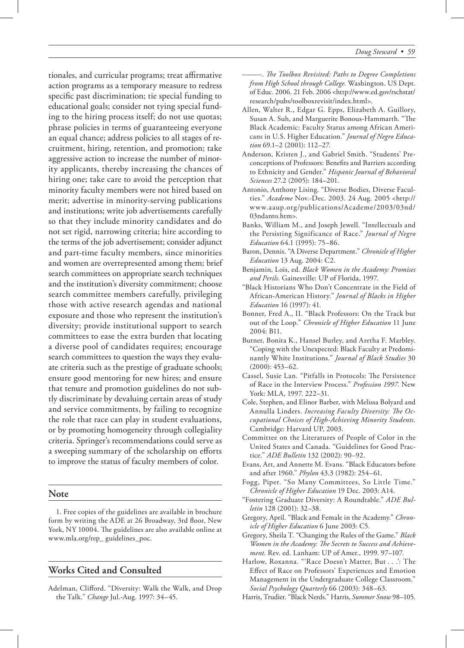tionales, and curricular programs; treat affirmative action programs as a temporary measure to redress specific past discrimination; tie special funding to educational goals; consider not tying special funding to the hiring process itself; do not use quotas; phrase policies in terms of guaranteeing everyone an equal chance; address policies to all stages of recruitment, hiring, retention, and promotion; take aggressive action to increase the number of minority applicants, thereby increasing the chances of hiring one; take care to avoid the perception that minority faculty members were not hired based on merit; advertise in minority-serving publications and institutions; write job advertisements carefully so that they include minority candidates and do not set rigid, narrowing criteria; hire according to the terms of the job advertisement; consider adjunct and part-time faculty members, since minorities and women are overrepresented among them; brief search committees on appropriate search techniques and the institution's diversity commitment; choose search committee members carefully, privileging those with active research agendas and national exposure and those who represent the institution's diversity; provide institutional support to search committees to ease the extra burden that locating a diverse pool of candidates requires; encourage search committees to question the ways they evaluate criteria such as the prestige of graduate schools; ensure good mentoring for new hires; and ensure that tenure and promotion guidelines do not subtly discriminate by devaluing certain areas of study and service commitments, by failing to recognize the role that race can play in student evaluations, or by promoting homogeneity through collegiality criteria. Springer's recommendations could serve as a sweeping summary of the scholarship on efforts to improve the status of faculty members of color.

# **Note**

1. Free copies of the guidelines are available in brochure form by writing the ADE at 26 Broadway, 3rd floor, New York, NY 10004. The guidelines are also available online at www.mla.org/rep\_ guidelines\_poc.

# **Works Cited and Consulted**

Adelman, Clifford. "Diversity: Walk the Walk, and Drop the Talk." *Change* Jul.-Aug. 1997: 34–45.

- ———. *!e Toolbox Revisited: Paths to Degree Completions from High School through College*. Washington. US Dept. of Educ. 2006. 21 Feb. 2006 <http://www.ed.gov/rschstat/ research/pubs/toolboxrevisit/index.html>.
- Allen, Walter R., Edgar G. Epps, Elizabeth A. Guillory, Susan A. Suh, and Marguerite Bonous-Hammarth. "The Black Academic: Faculty Status among African Americans in U.S. Higher Education." *Journal of Negro Education* 69.1–2 (2001): 112–27.
- Anderson, Kristen J., and Gabriel Smith. "Students' Preconceptions of Professors: Benefits and Barriers according to Ethnicity and Gender." *Hispanic Journal of Behavioral Sciences* 27.2 (2005): 184–201.
- Antonio, Anthony Lising. "Diverse Bodies, Diverse Faculties." *Academe* Nov.-Dec. 2003. 24 Aug. 2005 <http:// www.aaup.org/publications/Academe/2003/03nd/ 03ndanto.htm>.
- Banks, William M., and Joseph Jewell. "Intellectuals and the Persisting Significance of Race." *Journal of Negro Education* 64.1 (1995): 75–86.
- Baron, Dennis. "A Diverse Department." *Chronicle of Higher Education* 13 Aug. 2004: C2.
- Benjamin, Lois, ed. *Black Women in the Academy: Promises and Perils*. Gainesville: UP of Florida, 1997.
- "Black Historians Who Don't Concentrate in the Field of African-American History." *Journal of Blacks in Higher Education* 16 (1997): 41.
- Bonner, Fred A., II. "Black Professors: On the Track but out of the Loop." *Chronicle of Higher Education* 11 June 2004: B11.
- Butner, Bonita K., Hansel Burley, and Aretha F. Marbley. "Coping with the Unexpected: Black Faculty at Predominantly White Institutions." *Journal of Black Studies* 30 (2000): 453–62.
- Cassel, Susie Lan. "Pitfalls in Protocols: The Persistence of Race in the Interview Process." *Profession 1997.* New York: MLA, 1997. 222–31.
- Cole, Stephen, and Elinor Barber, with Melissa Bolyard and Annulla Linders. *Increasing Faculty Diversity: The Occupational Choices of High-Achieving Minority Students*. Cambridge: Harvard UP, 2003.
- Committee on the Literatures of People of Color in the United States and Canada. "Guidelines for Good Practice." *ADE Bulletin* 132 (2002): 90–92.
- Evans, Art, and Annette M. Evans. "Black Educators before and after 1960." *Phylon* 43.3 (1982): 254–61.
- Fogg, Piper. "So Many Committees, So Little Time." *Chronicle of Higher Education* 19 Dec. 2003: A14.
- "Fostering Graduate Diversity: A Roundtable." *ADE Bulletin* 128 (2001): 32–38.
- Gregory, April. "Black and Female in the Academy." *Chronicle of Higher Education* 6 June 2003: C5.
- Gregory, Sheila T. "Changing the Rules of the Game." *Black*  Women in the Academy: The Secrets to Success and Achieve*ment*. Rev. ed. Lanham: UP of Amer., 1999. 97–107.
- Harlow, Roxanna. "'Race Doesn't Matter, But . . .': The Effect of Race on Professors' Experiences and Emotion Management in the Undergraduate College Classroom." *Social Psychology Quarterly* 66 (2003): 348–63.
- Harris, Trudier. "Black Nerds." Harris, *Summer Snow* 98–105.